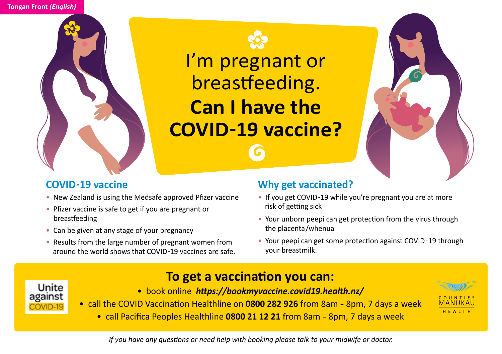



I'm pregnant or breastfeeding. **Can I have the COVID-19 vaccine?**



## **COVID-19 vaccine**

- New Zealand is using the Medsafe approved Pfizer vaccine
- Pfizer vaccine is safe to get if you are pregnant or breastfeeding
- Can be given at any stage of your pregnancy
- Results from the large number of pregnant women from around the world shows that COVID-19 vaccines are safe.

## **Why get vaccinated?**

- If you get COVID-19 while you're pregnant you are at more risk of getting sick
- Your unborn peepi can get protection from the virus through the placenta/whenua
- Your peepi can get some protection against COVID-19 through your breastmilk.



- **To get a vaccination you can:**
- book online *https://bookmyvaccine.covid19.health.nz/*



• call Pacifica Peoples Healthline **0800 21 12 21** from 8am - 8pm, 7 days a week



*If you have any questions or need help with booking please talk to your midwife or doctor.*